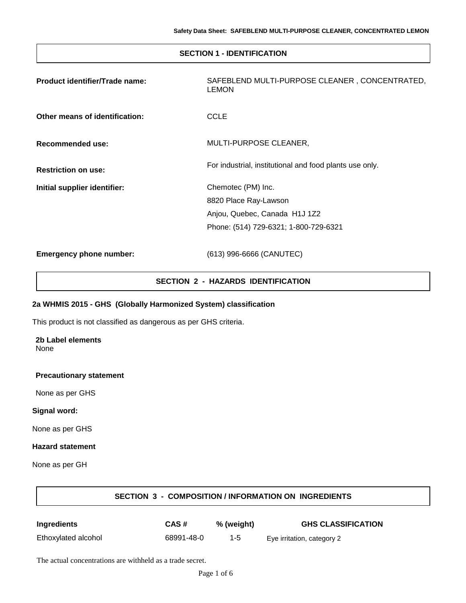# **SECTION 1 - IDENTIFICATION**

| Product identifier/Trade name: | SAFEBLEND MULTI-PURPOSE CLEANER, CONCENTRATED,<br><b>LEMON</b> |
|--------------------------------|----------------------------------------------------------------|
| Other means of identification: | <b>CCLE</b>                                                    |
| Recommended use:               | MULTI-PURPOSE CLEANER,                                         |
| <b>Restriction on use:</b>     | For industrial, institutional and food plants use only.        |
| Initial supplier identifier:   | Chemotec (PM) Inc.                                             |
|                                | 8820 Place Ray-Lawson                                          |
|                                | Anjou, Quebec, Canada H1J 1Z2                                  |
|                                | Phone: (514) 729-6321; 1-800-729-6321                          |
| <b>Emergency phone number:</b> | (613) 996-6666 (CANUTEC)                                       |

# **SECTION 2 - HAZARDS IDENTIFICATION**

### **2a WHMIS 2015 - GHS (Globally Harmonized System) classification**

This product is not classified as dangerous as per GHS criteria.

#### **2b Label elements** None

**Precautionary statement**

None as per GHS

### **Signal word:**

None as per GHS

# **Hazard statement**

None as per GH

# **SECTION 3 - COMPOSITION / INFORMATION ON INGREDIENTS**

| <b>Ingredients</b>  | CAS#       | % (weight) | <b>GHS CLASSIFICATION</b>  |
|---------------------|------------|------------|----------------------------|
| Ethoxylated alcohol | 68991-48-0 | 1-5        | Eye irritation, category 2 |

The actual concentrations are withheld as a trade secret.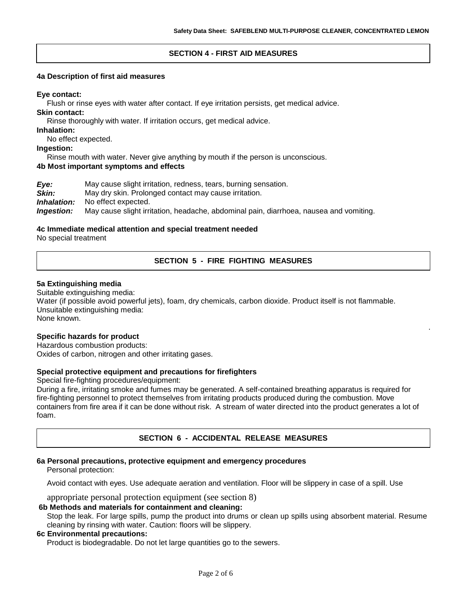.

# **SECTION 4 - FIRST AID MEASURES**

### **4a Description of first aid measures**

### **Eye contact:**

Flush or rinse eyes with water after contact. If eye irritation persists, get medical advice.

### **Skin contact:**

Rinse thoroughly with water. If irritation occurs, get medical advice.

### **Inhalation:**

No effect expected.

**Ingestion:**

Rinse mouth with water. Never give anything by mouth if the person is unconscious.

### **4b Most important symptoms and effects**

*Eye:* May cause slight irritation, redness, tears, burning sensation. **Skin:** May dry skin. Prolonged contact may cause irritation. *Inhalation:* No effect expected. *Ingestion:* May cause slight irritation, headache, abdominal pain, diarrhoea, nausea and vomiting.

# **4c Immediate medical attention and special treatment needed**

No special treatment

# **SECTION 5 - FIRE FIGHTING MEASURES**

### **5a Extinguishing media**

Suitable extinguishing media: Water (if possible avoid powerful jets), foam, dry chemicals, carbon dioxide. Product itself is not flammable. Unsuitable extinguishing media: None known.

### **Specific hazards for product**

Hazardous combustion products: Oxides of carbon, nitrogen and other irritating gases.

### **Special protective equipment and precautions for firefighters**

Special fire-fighting procedures/equipment:

During a fire, irritating smoke and fumes may be generated. A self-contained breathing apparatus is required for fire-fighting personnel to protect themselves from irritating products produced during the combustion. Move containers from fire area if it can be done without risk. A stream of water directed into the product generates a lot of foam.

# **SECTION 6 - ACCIDENTAL RELEASE MEASURES**

# **6a Personal precautions, protective equipment and emergency procedures**

Personal protection:

Avoid contact with eyes. Use adequate aeration and ventilation. Floor will be slippery in case of a spill. Use

appropriate personal protection equipment (see section 8)

# **6b Methods and materials for containment and cleaning:**

Stop the leak. For large spills, pump the product into drums or clean up spills using absorbent material. Resume cleaning by rinsing with water. Caution: floors will be slippery.

# **6c Environmental precautions:**

Product is biodegradable. Do not let large quantities go to the sewers.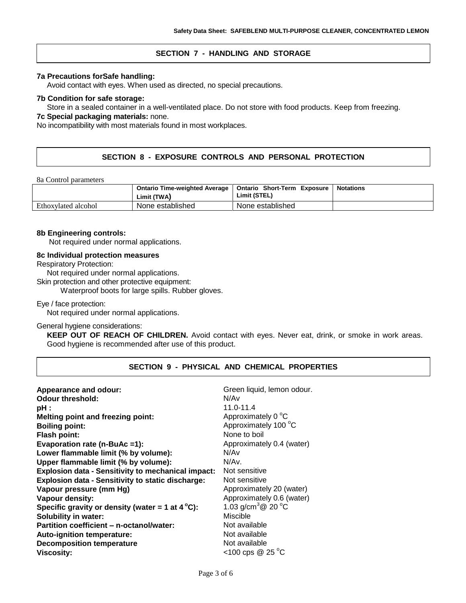### **SECTION 7 - HANDLING AND STORAGE**

#### **7a Precautions forSafe handling:**

Avoid contact with eyes. When used as directed, no special precautions.

#### **7b Condition for safe storage:**

Store in a sealed container in a well-ventilated place. Do not store with food products. Keep from freezing.

### **7c Special packaging materials:** none.

No incompatibility with most materials found in most workplaces.

### **SECTION 8 - EXPOSURE CONTROLS AND PERSONAL PROTECTION**

#### 8a Control parameters

|                     | Ontario Time-weighted Average<br>Limit (TWA) | Ontario Short-Term Exposure<br>Limit (STEL) | <b>Notations</b> |
|---------------------|----------------------------------------------|---------------------------------------------|------------------|
| Ethoxylated alcohol | None established                             | None established                            |                  |

#### **8b Engineering controls:**

Not required under normal applications.

#### **8c Individual protection measures**

Respiratory Protection:

Not required under normal applications.

Skin protection and other protective equipment:

Waterproof boots for large spills. Rubber gloves.

#### Eye / face protection:

Not required under normal applications.

#### General hygiene considerations:

**KEEP OUT OF REACH OF CHILDREN.** Avoid contact with eyes. Never eat, drink, or smoke in work areas. Good hygiene is recommended after use of this product.

### **SECTION 9 - PHYSICAL AND CHEMICAL PROPERTIES**

| Appearance and odour:<br><b>Odour threshold:</b><br>pH :                   | Green liquid, lemon odour.<br>N/Av<br>11.0-11.4<br>Approximately 0 °C |
|----------------------------------------------------------------------------|-----------------------------------------------------------------------|
| Melting point and freezing point:<br><b>Boiling point:</b><br>Flash point: | Approximately 100 °C<br>None to boil                                  |
| Evaporation rate (n-BuAc =1):                                              | Approximately 0.4 (water)                                             |
| Lower flammable limit (% by volume):                                       | N/Av                                                                  |
| Upper flammable limit (% by volume):                                       | N/Av.                                                                 |
| Explosion data - Sensitivity to mechanical impact:                         | Not sensitive                                                         |
| <b>Explosion data - Sensitivity to static discharge:</b>                   | Not sensitive                                                         |
| Vapour pressure (mm Hg)                                                    | Approximately 20 (water)                                              |
| Vapour density:                                                            | Approximately 0.6 (water)                                             |
| Specific gravity or density (water = 1 at $4^{\circ}$ C):                  | 1.03 g/cm <sup>3</sup> $@$ 20 °C                                      |
| <b>Solubility in water:</b>                                                | Miscible                                                              |
| Partition coefficient - n-octanol/water:                                   | Not available                                                         |
| <b>Auto-ignition temperature:</b>                                          | Not available                                                         |
| <b>Decomposition temperature</b>                                           | Not available                                                         |
| <b>Viscosity:</b>                                                          | <100 cps @ 25 $^{\circ}$ C                                            |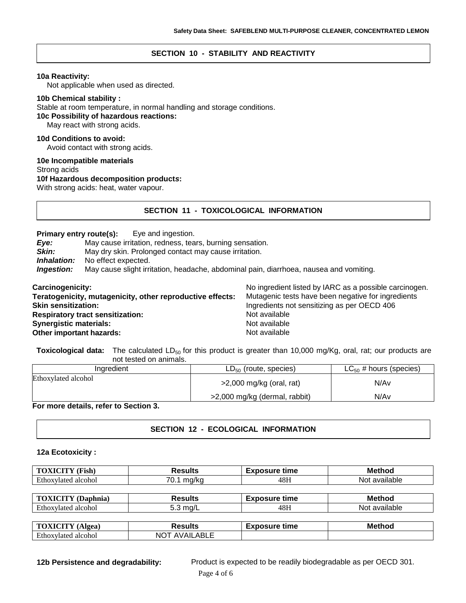### **SECTION 10 - STABILITY AND REACTIVITY**

#### **10a Reactivity:**

Not applicable when used as directed.

### **10b Chemical stability :**

Stable at room temperature, in normal handling and storage conditions. **10c Possibility of hazardous reactions:**

May react with strong acids.

# **10d Conditions to avoid:**

Avoid contact with strong acids.

### **10e Incompatible materials** Strong acids **10f Hazardous decomposition product***s***:** With strong acids: heat, water vapour.

### **SECTION 11 - TOXICOLOGICAL INFORMATION**

### **Primary entry route(s):** Eye and ingestion.

*Eye:* May cause irritation, redness, tears, burning sensation.

**Skin:** May dry skin. Prolonged contact may cause irritation.

*Inhalation:* No effect expected.

*Ingestion:* May cause slight irritation, headache, abdominal pain, diarrhoea, nausea and vomiting.

| <b>Carcinogenicity:</b>                                   | No ingredient listed by IARC as a possible carcinogen. |
|-----------------------------------------------------------|--------------------------------------------------------|
| Teratogenicity, mutagenicity, other reproductive effects: | Mutagenic tests have been negative for ingredients     |
| <b>Skin sensitization:</b>                                | Ingredients not sensitizing as per OECD 406            |
| <b>Respiratory tract sensitization:</b>                   | Not available                                          |
| <b>Synergistic materials:</b>                             | Not available                                          |
| Other important hazards:                                  | Not available                                          |

Toxicological data: The calculated LD<sub>50</sub> for this product is greater than 10,000 mg/Kg, oral, rat; our products are not tested on animals.

| Inaredient                          | $LD_{50}$ (route, species)    | $LC_{50}$ # hours (species) |
|-------------------------------------|-------------------------------|-----------------------------|
| Ethoxylated alcohol                 | $>2,000$ mg/kg (oral, rat)    | N/Av                        |
|                                     | >2,000 mg/kg (dermal, rabbit) | N/Av                        |
| Fernand Jotalle peter to Occident O |                               |                             |

#### **For more details, refer to Section 3.**

# **SECTION 12 - ECOLOGICAL INFORMATION**

### **12a Ecotoxicity :**

| <b>TOXICITY (Fish)</b>    | <b>Results</b>       | <b>Exposure time</b> | <b>Method</b> |
|---------------------------|----------------------|----------------------|---------------|
| Ethoxylated alcohol       | 70.1 mg/kg           | 48H                  | Not available |
|                           |                      |                      |               |
| <b>TOXICITY</b> (Daphnia) | <b>Results</b>       | <b>Exposure time</b> | <b>Method</b> |
| Ethoxylated alcohol       | 5.3 $mg/L$           | 48H                  | Not available |
|                           |                      |                      |               |
| <b>TOXICITY</b> (Algea)   | <b>Results</b>       | <b>Exposure time</b> | <b>Method</b> |
| Ethoxylated alcohol       | <b>NOT AVAILABLE</b> |                      |               |

**12b Persistence and degradability:** Product is expected to be readily biodegradable as per OECD 301.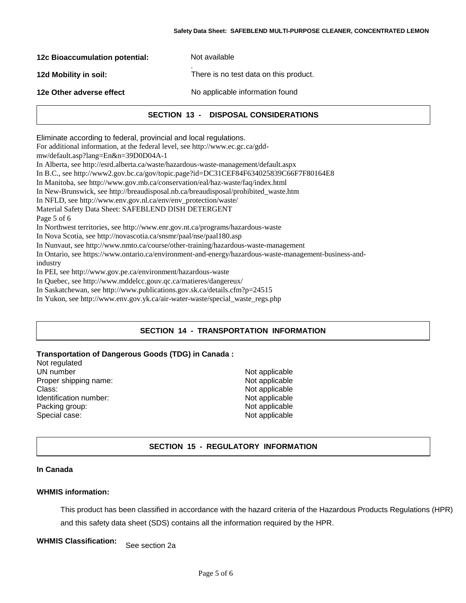| <b>12c Bioaccumulation potential:</b> | Not available                          |
|---------------------------------------|----------------------------------------|
| 12d Mobility in soil:                 | There is no test data on this product. |
| 12e Other adverse effect              | No applicable information found        |

### **SECTION 13 - DISPOSAL CONSIDERATIONS**

Eliminate according to federal, provincial and local regulations.

For additional information, at the federal level, see http://www.ec.gc.ca/gdd-

mw/default.asp?lang=En&n=39D0D04A-1

In Alberta, see http://esrd.alberta.ca/waste/hazardous-waste-management/default.aspx

In B.C., see http://www2.gov.bc.ca/gov/topic.page?id=DC31CEF84F634025839C66F7F80164E8

In Manitoba, see http://www.gov.mb.ca/conservation/eal/haz-waste/faq/index.html

In New-Brunswick, see http://breaudisposal.nb.ca/breaudisposal/prohibited\_waste.htm

In NFLD, see http://www.env.gov.nl.ca/env/env\_protection/waste/

Material Safety Data Sheet: SAFEBLEND DISH DETERGENT

Page 5 of 6

In Northwest territories, see http://www.enr.gov.nt.ca/programs/hazardous-waste

In Nova Scotia, see http://novascotia.ca/snsmr/paal/nse/paal180.asp

In Nunvaut, see http://www.nmto.ca/course/other-training/hazardous-waste-management

In Ontario, see https://www.ontario.ca/environment-and-energy/hazardous-waste-management-business-and-

industry

In PEI, see http://www.gov.pe.ca/environment/hazardous-waste

In Quebec, see http://www.mddelcc.gouv.qc.ca/matieres/dangereux/

In Saskatchewan, see http://www.publications.gov.sk.ca/details.cfm?p=24515

In Yukon, see http://www.env.gov.yk.ca/air-water-waste/special\_waste\_regs.php

# **SECTION 14 - TRANSPORTATION INFORMATION**

**Transportation of Dangerous Goods (TDG) in Canada :** Not regulated

UN number Not applicable Proper shipping name: Not applicable Class: Not applicable Identification number: Not applicable Packing group: Not applicable Special case: Not applicable Special case:

# **SECTION 15 - REGULATORY INFORMATION**

### **In Canada**

### **WHMIS information:**

This product has been classified in accordance with the hazard criteria of the Hazardous Products Regulations (HPR) and this safety data sheet (SDS) contains all the information required by the HPR.

**WHMIS Classification:** See section 2a